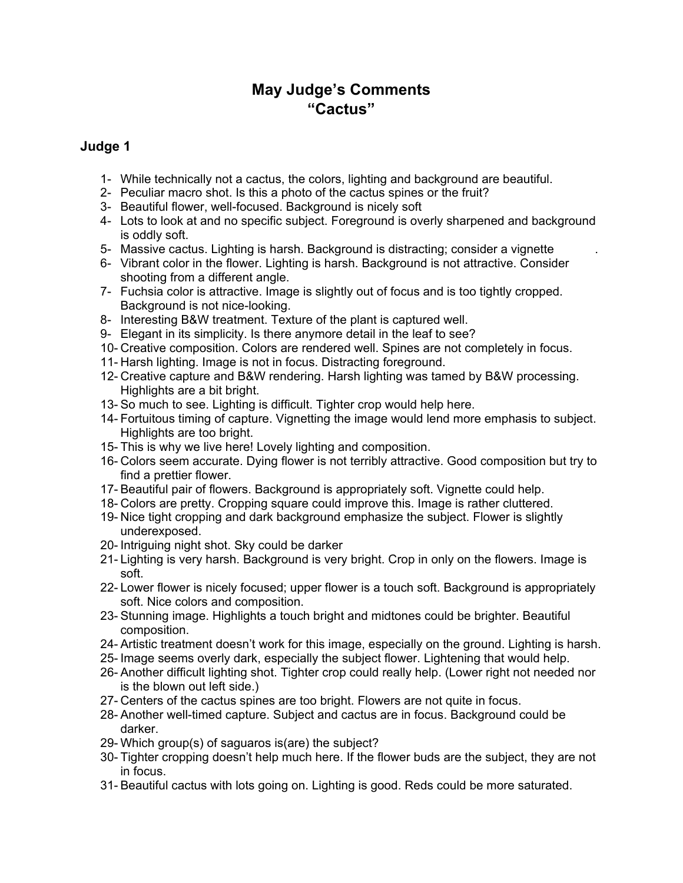## **May Judge's Comments "Cactus"**

## **Judge 1**

- 1- While technically not a cactus, the colors, lighting and background are beautiful.
- 2- Peculiar macro shot. Is this a photo of the cactus spines or the fruit?
- 3- Beautiful flower, well-focused. Background is nicely soft
- 4- Lots to look at and no specific subject. Foreground is overly sharpened and background is oddly soft.
- 5- Massive cactus. Lighting is harsh. Background is distracting; consider a vignette .
- 6- Vibrant color in the flower. Lighting is harsh. Background is not attractive. Consider shooting from a different angle.
- 7- Fuchsia color is attractive. Image is slightly out of focus and is too tightly cropped. Background is not nice-looking.
- 8- Interesting B&W treatment. Texture of the plant is captured well.
- 9- Elegant in its simplicity. Is there anymore detail in the leaf to see?
- 10- Creative composition. Colors are rendered well. Spines are not completely in focus.
- 11- Harsh lighting. Image is not in focus. Distracting foreground.
- 12- Creative capture and B&W rendering. Harsh lighting was tamed by B&W processing. Highlights are a bit bright.
- 13- So much to see. Lighting is difficult. Tighter crop would help here.
- 14- Fortuitous timing of capture. Vignetting the image would lend more emphasis to subject. Highlights are too bright.
- 15- This is why we live here! Lovely lighting and composition.
- 16- Colors seem accurate. Dying flower is not terribly attractive. Good composition but try to find a prettier flower.
- 17- Beautiful pair of flowers. Background is appropriately soft. Vignette could help.
- 18- Colors are pretty. Cropping square could improve this. Image is rather cluttered.
- 19- Nice tight cropping and dark background emphasize the subject. Flower is slightly underexposed.
- 20- Intriguing night shot. Sky could be darker
- 21- Lighting is very harsh. Background is very bright. Crop in only on the flowers. Image is soft.
- 22- Lower flower is nicely focused; upper flower is a touch soft. Background is appropriately soft. Nice colors and composition.
- 23- Stunning image. Highlights a touch bright and midtones could be brighter. Beautiful composition.
- 24- Artistic treatment doesn't work for this image, especially on the ground. Lighting is harsh.
- 25- Image seems overly dark, especially the subject flower. Lightening that would help.
- 26- Another difficult lighting shot. Tighter crop could really help. (Lower right not needed nor is the blown out left side.)
- 27- Centers of the cactus spines are too bright. Flowers are not quite in focus.
- 28- Another well-timed capture. Subject and cactus are in focus. Background could be darker.
- 29- Which group(s) of saguaros is(are) the subject?
- 30- Tighter cropping doesn't help much here. If the flower buds are the subject, they are not in focus.
- 31- Beautiful cactus with lots going on. Lighting is good. Reds could be more saturated.